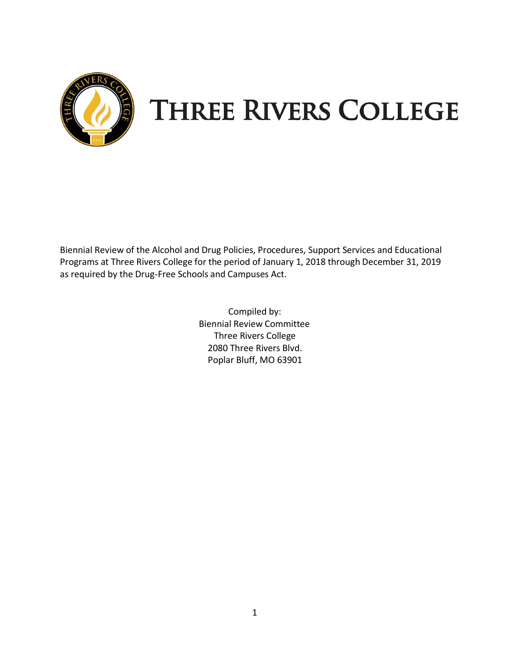

# **THREE RIVERS COLLEGE**

Biennial Review of the Alcohol and Drug Policies, Procedures, Support Services and Educational Programs at Three Rivers College for the period of January 1, 2018 through December 31, 2019 as required by the Drug-Free Schools and Campuses Act.

> Compiled by: Biennial Review Committee Three Rivers College 2080 Three Rivers Blvd. Poplar Bluff, MO 63901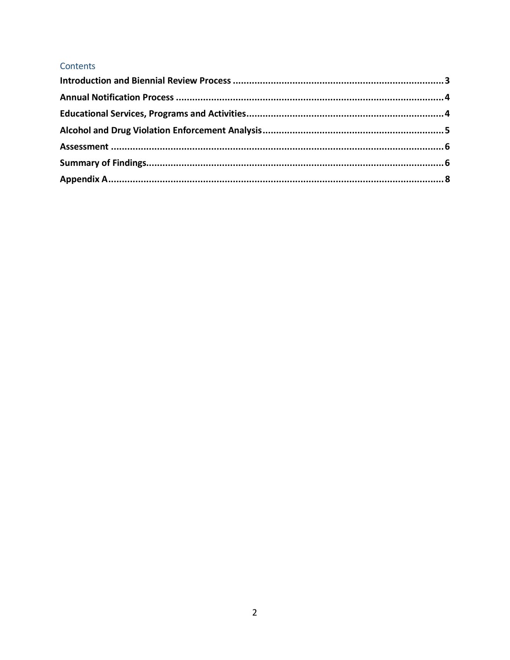# Contents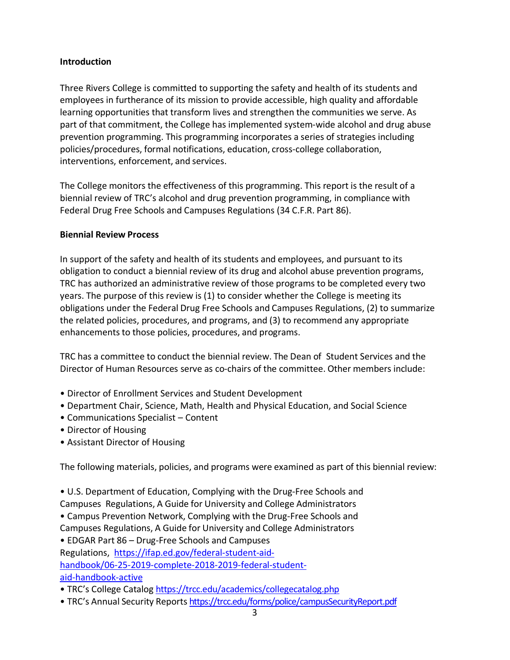#### **Introduction**

Three Rivers College is committed to supporting the safety and health of its students and employees in furtherance of its mission to provide accessible, high quality and affordable learning opportunities that transform lives and strengthen the communities we serve. As part of that commitment, the College has implemented system-wide alcohol and drug abuse prevention programming. This programming incorporates a series of strategies including policies/procedures, formal notifications, education, cross-college collaboration, interventions, enforcement, and services.

The College monitors the effectiveness of this programming. This report is the result of a biennial review of TRC's alcohol and drug prevention programming, in compliance with Federal Drug Free Schools and Campuses Regulations (34 C.F.R. Part 86).

#### **Biennial Review Process**

In support of the safety and health of its students and employees, and pursuant to its obligation to conduct a biennial review of its drug and alcohol abuse prevention programs, TRC has authorized an administrative review of those programs to be completed every two years. The purpose of this review is (1) to consider whether the College is meeting its obligations under the Federal Drug Free Schools and Campuses Regulations, (2) to summarize the related policies, procedures, and programs, and (3) to recommend any appropriate enhancements to those policies, procedures, and programs.

TRC has a committee to conduct the biennial review. The Dean of Student Services and the Director of Human Resources serve as co-chairs of the committee. Other members include:

- Director of Enrollment Services and Student Development
- Department Chair, Science, Math, Health and Physical Education, and Social Science
- Communications Specialist Content
- Director of Housing
- Assistant Director of Housing

The following materials, policies, and programs were examined as part of this biennial review:

• U.S. Department of Education, Complying with the Drug-Free Schools and

- Campuses Regulations, A Guide for University and College Administrators
- Campus Prevention Network, Complying with the Drug-Free Schools and
- Campuses Regulations, A Guide for University and College Administrators

• EDGAR Part 86 – Drug-Free Schools and Campuses

Regulations, [https://ifap.ed.gov/federal-student-aid-](https://ifap.ed.gov/federal-student-aid-handbook/06-25-2019-complete-2018-2019-federal-student-aid-handbook-active)

[handbook/06-25-2019-complete-2018-2019-federal-student-](https://ifap.ed.gov/federal-student-aid-handbook/06-25-2019-complete-2018-2019-federal-student-aid-handbook-active)

[aid-handbook-active](https://ifap.ed.gov/federal-student-aid-handbook/06-25-2019-complete-2018-2019-federal-student-aid-handbook-active)

- TRC's College Catalog <https://trcc.edu/academics/collegecatalog.php>
- TRC's Annual Security Reports <https://trcc.edu/forms/police/campusSecurityReport.pdf>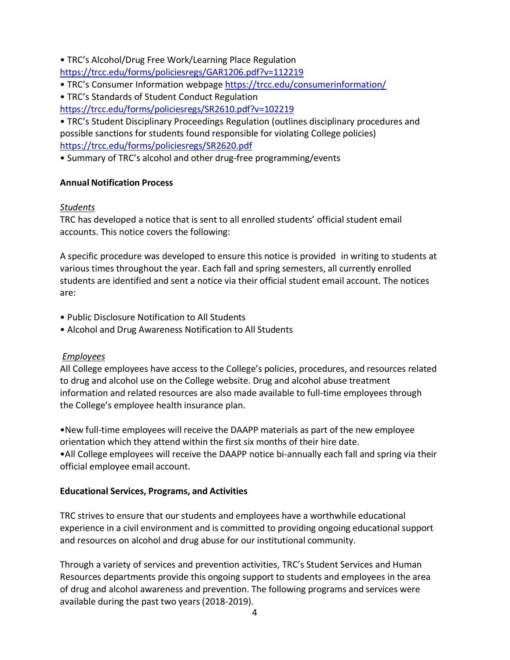• TRC's Alcohol/Drug Free Work/Learning Place Regulation

<https://trcc.edu/forms/policiesregs/GAR1206.pdf?v=112219>

- TRC's Consumer Information webpage <https://trcc.edu/consumerinformation/>
- TRC's Standards of Student Conduct Regulation

<https://trcc.edu/forms/policiesregs/SR2610.pdf?v=102219>

• TRC's Student Disciplinary Proceedings Regulation (outlines disciplinary procedures and possible sanctions for students found responsible for violating College policies) <https://trcc.edu/forms/policiesregs/SR2620.pdf>

• Summary of TRC's alcohol and other drug-free programming/events

## <span id="page-3-0"></span>**Annual Notification Process**

## *Students*

TRC has developed a notice that is sent to all enrolled students' official student email accounts. This notice covers the following:

A specific procedure was developed to ensure this notice is provided in writing to students at various times throughout the year. Each fall and spring semesters, all currently enrolled students are identified and sent a notice via their official student email account. The notices are:

- Public Disclosure Notification to All Students
- Alcohol and Drug Awareness Notification to All Students

# *Employees*

All College employees have access to the College's policies, procedures, and resources related to drug and alcohol use on the College website. Drug and alcohol abuse treatment information and related resources are also made available to full-time employees through the College's employee health insurance plan.

•New full-time employees will receive the DAAPP materials as part of the new employee orientation which they attend within the first six months of their hire date. •All College employees will receive the DAAPP notice bi-annually each fall and spring via their official employee email account.

# <span id="page-3-1"></span>**Educational Services, Programs, and Activities**

TRC strives to ensure that our students and employees have a worthwhile educational experience in a civil environment and is committed to providing ongoing educational support and resources on alcohol and drug abuse for our institutional community.

Through a variety of services and prevention activities, TRC's Student Services and Human Resources departments provide this ongoing support to students and employees in the area of drug and alcohol awareness and prevention. The following programs and services were available during the past two years(2018-2019).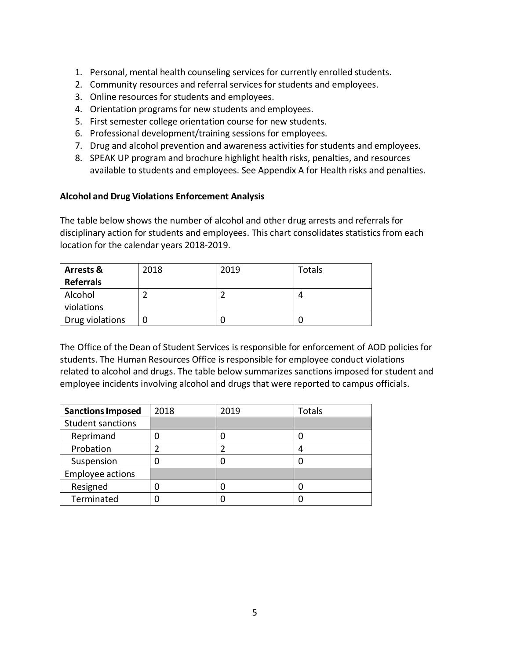- 1. Personal, mental health counseling services for currently enrolled students.
- 2. Community resources and referral services for students and employees.
- 3. Online resources for students and employees.
- 4. Orientation programs for new students and employees.
- 5. First semester college orientation course for new students.
- 6. Professional development/training sessions for employees.
- 7. Drug and alcohol prevention and awareness activities for students and employees.
- 8. SPEAK UP program and brochure highlight health risks, penalties, and resources available to students and employees. See Appendix A for Health risks and penalties.

#### **Alcohol and Drug Violations Enforcement Analysis**

The table below shows the number of alcohol and other drug arrests and referrals for disciplinary action for students and employees. This chart consolidates statistics from each location for the calendar years 2018-2019.

| <b>Arrests &amp;</b> | 2018 | 2019 | <b>Totals</b> |
|----------------------|------|------|---------------|
| <b>Referrals</b>     |      |      |               |
| Alcohol              |      |      |               |
| violations           |      |      |               |
| Drug violations      |      |      |               |

The Office of the Dean of Student Services isresponsible for enforcement of AOD policies for students. The Human Resources Office is responsible for employee conduct violations related to alcohol and drugs. The table below summarizes sanctions imposed for student and employee incidents involving alcohol and drugs that were reported to campus officials.

<span id="page-4-0"></span>

| <b>Sanctions Imposed</b> | 2018 | 2019 | Totals |
|--------------------------|------|------|--------|
| <b>Student sanctions</b> |      |      |        |
| Reprimand                |      |      |        |
| Probation                |      |      | 4      |
| Suspension               |      |      |        |
| <b>Employee actions</b>  |      |      |        |
| Resigned                 |      |      |        |
| Terminated               |      |      |        |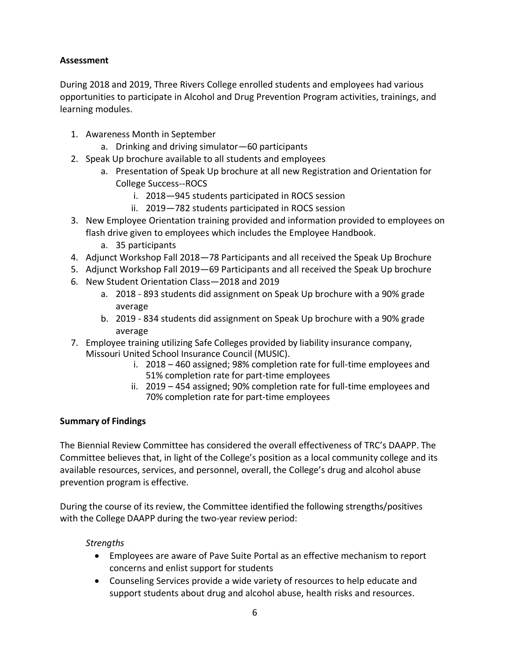#### **Assessment**

During 2018 and 2019, Three Rivers College enrolled students and employees had various opportunities to participate in Alcohol and Drug Prevention Program activities, trainings, and learning modules.

- 1. Awareness Month in September
	- a. Drinking and driving simulator—60 participants
- 2. Speak Up brochure available to all students and employees
	- a. Presentation of Speak Up brochure at all new Registration and Orientation for College Success--ROCS
		- i. 2018—945 students participated in ROCS session
		- ii. 2019—782 students participated in ROCS session
- 3. New Employee Orientation training provided and information provided to employees on flash drive given to employees which includes the Employee Handbook.
	- a. 35 participants
- 4. Adjunct Workshop Fall 2018—78 Participants and all received the Speak Up Brochure
- 5. Adjunct Workshop Fall 2019—69 Participants and all received the Speak Up brochure
- 6. New Student Orientation Class—2018 and 2019
	- a. 2018 893 students did assignment on Speak Up brochure with a 90% grade average
	- b. 2019 834 students did assignment on Speak Up brochure with a 90% grade average
- 7. Employee training utilizing Safe Colleges provided by liability insurance company, Missouri United School Insurance Council (MUSIC).
	- i. 2018 460 assigned; 98% completion rate for full-time employees and 51% completion rate for part-time employees
	- ii. 2019 454 assigned; 90% completion rate for full-time employees and 70% completion rate for part-time employees

#### <span id="page-5-0"></span>**Summary of Findings**

The Biennial Review Committee has considered the overall effectiveness of TRC's DAAPP. The Committee believes that, in light of the College's position as a local community college and its available resources, services, and personnel, overall, the College's drug and alcohol abuse prevention program is effective.

During the course of its review, the Committee identified the following strengths/positives with the College DAAPP during the two-year review period:

#### *Strengths*

- Employees are aware of Pave Suite Portal as an effective mechanism to report concerns and enlist support for students
- Counseling Services provide a wide variety of resources to help educate and support students about drug and alcohol abuse, health risks and resources.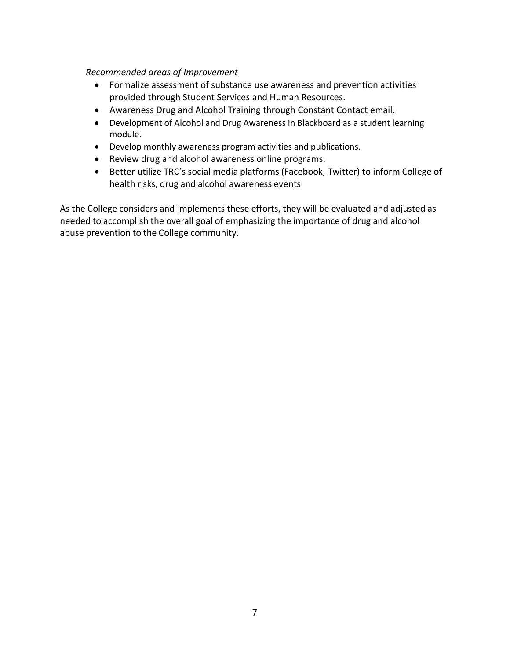#### *Recommended areas of Improvement*

- Formalize assessment of substance use awareness and prevention activities provided through Student Services and Human Resources.
- Awareness Drug and Alcohol Training through Constant Contact email.
- Development of Alcohol and Drug Awareness in Blackboard as a student learning module.
- Develop monthly awareness program activities and publications.
- Review drug and alcohol awareness online programs.
- Better utilize TRC's social media platforms (Facebook, Twitter) to inform College of health risks, drug and alcohol awareness events

As the College considers and implements these efforts, they will be evaluated and adjusted as needed to accomplish the overall goal of emphasizing the importance of drug and alcohol abuse prevention to the College community.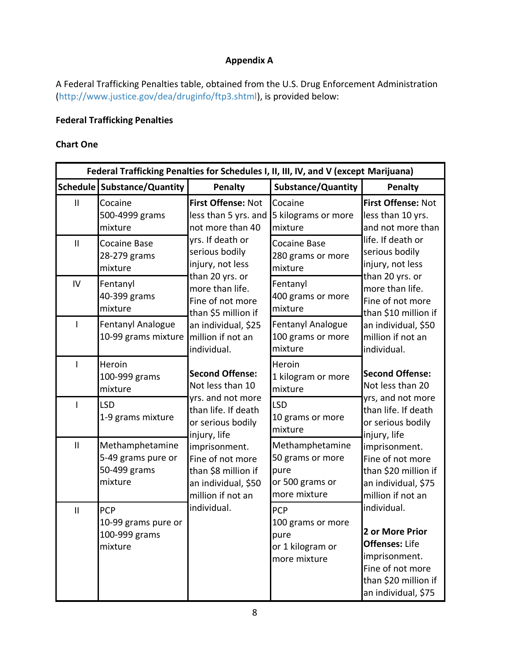## **Appendix A**

A Federal Trafficking Penalties table, obtained from the U.S. Drug Enforcement Administration [\(http://www.justice.gov/dea/druginfo/ftp3.shtml\)](http://www.justice.gov/dea/druginfo/ftp3.shtml), is provided below:

## **Federal Trafficking Penalties**

#### **Chart One**

| Federal Trafficking Penalties for Schedules I, II, III, IV, and V (except Marijuana) |                                                                  |                                                                                                      |                                                                                |                                                                                                                                             |
|--------------------------------------------------------------------------------------|------------------------------------------------------------------|------------------------------------------------------------------------------------------------------|--------------------------------------------------------------------------------|---------------------------------------------------------------------------------------------------------------------------------------------|
|                                                                                      | Schedule   Substance/Quantity                                    | Penalty                                                                                              | <b>Substance/Quantity</b>                                                      | Penalty                                                                                                                                     |
| $\mathsf{II}$                                                                        | Cocaine<br>500-4999 grams<br>mixture                             | First Offense: Not<br>less than 5 yrs. and<br>not more than 40                                       | Cocaine<br>5 kilograms or more<br>mixture                                      | First Offense: Not<br>less than 10 yrs.<br>and not more than                                                                                |
| $\mathbf{I}$                                                                         | <b>Cocaine Base</b><br>28-279 grams<br>mixture                   | yrs. If death or<br>serious bodily<br>injury, not less<br>than 20 yrs. or                            | <b>Cocaine Base</b><br>280 grams or more<br>mixture                            | life. If death or<br>serious bodily<br>injury, not less<br>than 20 yrs. or                                                                  |
| IV                                                                                   | Fentanyl<br>40-399 grams<br>mixture                              | more than life.<br>Fine of not more<br>than \$5 million if                                           | Fentanyl<br>400 grams or more<br>mixture                                       | more than life.<br>Fine of not more<br>than \$10 million if                                                                                 |
|                                                                                      | Fentanyl Analogue<br>10-99 grams mixture                         | an individual, \$25<br>million if not an<br>individual.                                              | <b>Fentanyl Analogue</b><br>100 grams or more<br>mixture                       | an individual, \$50<br>million if not an<br>individual.                                                                                     |
|                                                                                      | Heroin<br>100-999 grams<br>mixture                               | <b>Second Offense:</b><br>Not less than 10                                                           | Heroin<br>1 kilogram or more<br>mixture                                        | <b>Second Offense:</b><br>Not less than 20                                                                                                  |
|                                                                                      | <b>LSD</b><br>1-9 grams mixture                                  | yrs. and not more<br>than life. If death<br>or serious bodily<br>injury, life                        | <b>LSD</b><br>10 grams or more<br>mixture                                      | yrs, and not more<br>than life. If death<br>or serious bodily<br>injury, life                                                               |
| $\mathbf{  }$                                                                        | Methamphetamine<br>5-49 grams pure or<br>50-499 grams<br>mixture | imprisonment.<br>Fine of not more<br>than \$8 million if<br>an individual, \$50<br>million if not an | Methamphetamine<br>50 grams or more<br>pure<br>or 500 grams or<br>more mixture | imprisonment.<br>Fine of not more<br>than \$20 million if<br>an individual, \$75<br>million if not an                                       |
| $\mathbf{  }$                                                                        | <b>PCP</b><br>10-99 grams pure or<br>100-999 grams<br>mixture    | individual.                                                                                          | PCP<br>100 grams or more<br>pure<br>or 1 kilogram or<br>more mixture           | individual.<br>2 or More Prior<br><b>Offenses: Life</b><br>imprisonment.<br>Fine of not more<br>than \$20 million if<br>an individual, \$75 |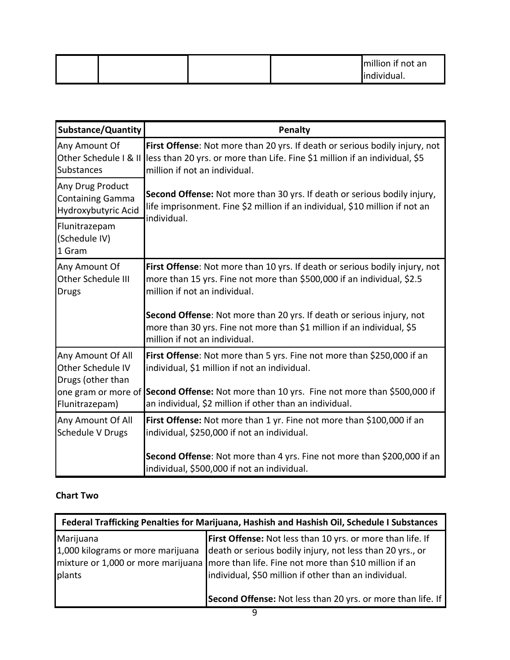|  |  | million if not an |
|--|--|-------------------|
|  |  | lindividual.      |

| <b>Substance/Quantity</b>                                          | Penalty                                                                                                                                                                                      |
|--------------------------------------------------------------------|----------------------------------------------------------------------------------------------------------------------------------------------------------------------------------------------|
| Any Amount Of<br>Other Schedule I & II<br>Substances               | First Offense: Not more than 20 yrs. If death or serious bodily injury, not<br>lless than 20 yrs. or more than Life. Fine \$1 million if an individual, \$5<br>million if not an individual. |
| Any Drug Product<br><b>Containing Gamma</b><br>Hydroxybutyric Acid | Second Offense: Not more than 30 yrs. If death or serious bodily injury,<br>life imprisonment. Fine \$2 million if an individual, \$10 million if not an                                     |
| Flunitrazepam<br>(Schedule IV)<br>1 Gram                           | individual.                                                                                                                                                                                  |
| Any Amount Of<br>Other Schedule III<br><b>Drugs</b>                | First Offense: Not more than 10 yrs. If death or serious bodily injury, not<br>more than 15 yrs. Fine not more than \$500,000 if an individual, \$2.5<br>million if not an individual.       |
|                                                                    | Second Offense: Not more than 20 yrs. If death or serious injury, not<br>more than 30 yrs. Fine not more than \$1 million if an individual, \$5<br>million if not an individual.             |
| Any Amount Of All<br>Other Schedule IV<br>Drugs (other than        | First Offense: Not more than 5 yrs. Fine not more than \$250,000 if an<br>individual, \$1 million if not an individual.                                                                      |
| one gram or more of<br>Flunitrazepam)                              | Second Offense: Not more than 10 yrs. Fine not more than \$500,000 if<br>an individual, \$2 million if other than an individual.                                                             |
| Any Amount Of All<br>Schedule V Drugs                              | First Offense: Not more than 1 yr. Fine not more than \$100,000 if an<br>individual, \$250,000 if not an individual.                                                                         |
|                                                                    | Second Offense: Not more than 4 yrs. Fine not more than \$200,000 if an<br>individual, \$500,000 if not an individual.                                                                       |

# **Chart Two**

| Federal Trafficking Penalties for Marijuana, Hashish and Hashish Oil, Schedule I Substances |                                                                                                                                                                                                                                                                                       |  |
|---------------------------------------------------------------------------------------------|---------------------------------------------------------------------------------------------------------------------------------------------------------------------------------------------------------------------------------------------------------------------------------------|--|
| Marijuana<br>1,000 kilograms or more marijuana<br>plants                                    | <b>First Offense:</b> Not less than 10 yrs. or more than life. If<br>death or serious bodily injury, not less than 20 yrs., or<br>mixture or 1,000 or more marijuana   more than life. Fine not more than \$10 million if an<br>individual, \$50 million if other than an individual. |  |
|                                                                                             | Second Offense: Not less than 20 yrs. or more than life. If                                                                                                                                                                                                                           |  |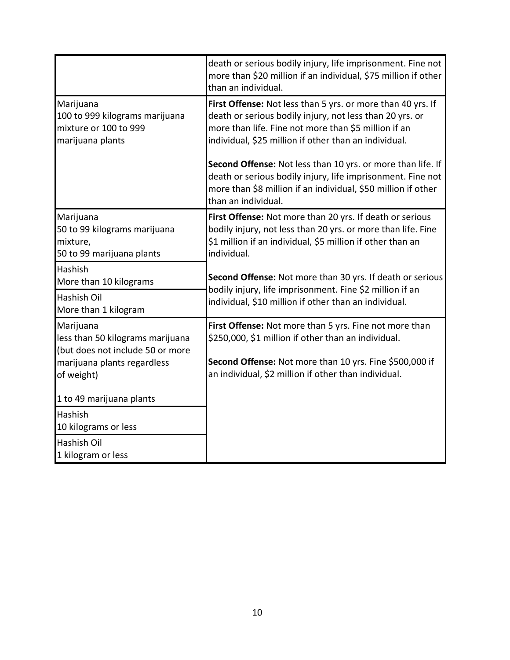|                                                                                          | death or serious bodily injury, life imprisonment. Fine not<br>more than \$20 million if an individual, \$75 million if other<br>than an individual.                                                                                     |
|------------------------------------------------------------------------------------------|------------------------------------------------------------------------------------------------------------------------------------------------------------------------------------------------------------------------------------------|
| Marijuana<br>100 to 999 kilograms marijuana<br>mixture or 100 to 999<br>marijuana plants | First Offense: Not less than 5 yrs. or more than 40 yrs. If<br>death or serious bodily injury, not less than 20 yrs. or<br>more than life. Fine not more than \$5 million if an<br>individual, \$25 million if other than an individual. |
|                                                                                          | Second Offense: Not less than 10 yrs. or more than life. If<br>death or serious bodily injury, life imprisonment. Fine not<br>more than \$8 million if an individual, \$50 million if other<br>than an individual.                       |
| Marijuana<br>50 to 99 kilograms marijuana<br>mixture,<br>50 to 99 marijuana plants       | First Offense: Not more than 20 yrs. If death or serious<br>bodily injury, not less than 20 yrs. or more than life. Fine<br>\$1 million if an individual, \$5 million if other than an<br>individual.                                    |
| Hashish<br>More than 10 kilograms                                                        | Second Offense: Not more than 30 yrs. If death or serious                                                                                                                                                                                |
| <b>Hashish Oil</b><br>More than 1 kilogram                                               | bodily injury, life imprisonment. Fine \$2 million if an<br>individual, \$10 million if other than an individual.                                                                                                                        |
| Marijuana<br>less than 50 kilograms marijuana<br>(but does not include 50 or more        | First Offense: Not more than 5 yrs. Fine not more than<br>\$250,000, \$1 million if other than an individual.                                                                                                                            |
| marijuana plants regardless<br>of weight)                                                | Second Offense: Not more than 10 yrs. Fine \$500,000 if<br>an individual, \$2 million if other than individual.                                                                                                                          |
| 1 to 49 marijuana plants                                                                 |                                                                                                                                                                                                                                          |
| <b>Hashish</b><br>10 kilograms or less                                                   |                                                                                                                                                                                                                                          |
| <b>Hashish Oil</b><br>1 kilogram or less                                                 |                                                                                                                                                                                                                                          |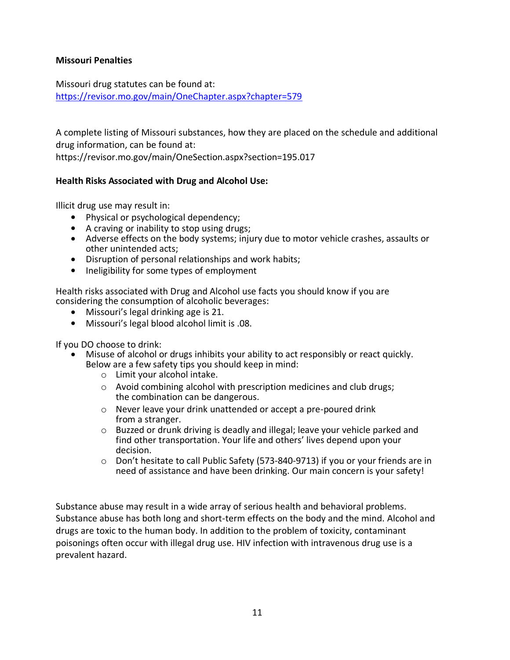#### **Missouri Penalties**

Missouri drug statutes can be found at: <https://revisor.mo.gov/main/OneChapter.aspx?chapter=579>

A complete listing of Missouri substances, how they are placed on the schedule and additional drug information, can be found at:

https://revisor.mo.gov/main/OneSection.aspx?section=195.017

#### **Health Risks Associated with Drug and Alcohol Use:**

Illicit drug use may result in:

- Physical or psychological dependency;
- A craving or inability to stop using drugs;
- Adverse effects on the body systems; injury due to motor vehicle crashes, assaults or other unintended acts;
- Disruption of personal relationships and work habits;
- Ineligibility for some types of employment

Health risks associated with Drug and Alcohol use facts you should know if you are considering the consumption of alcoholic beverages:

- Missouri's legal drinking age is 21.
- Missouri's legal blood alcohol limit is .08.

If you DO choose to drink:

- Misuse of alcohol or drugs inhibits your ability to act responsibly or react quickly. Below are a few safety tips you should keep in mind:
	- o Limit your alcohol intake.
	- o Avoid combining alcohol with prescription medicines and club drugs; the combination can be dangerous.
	- o Never leave your drink unattended or accept a pre-poured drink from a stranger.
	- o Buzzed or drunk driving is deadly and illegal; leave your vehicle parked and find other transportation. Your life and others' lives depend upon your decision.
	- o Don't hesitate to call Public Safety (573-840-9713) if you or your friends are in need of assistance and have been drinking. Our main concern is your safety!

Substance abuse may result in a wide array of serious health and behavioral problems. Substance abuse has both long and short-term effects on the body and the mind. Alcohol and drugs are toxic to the human body. In addition to the problem of toxicity, contaminant poisonings often occur with illegal drug use. HIV infection with intravenous drug use is a prevalent hazard.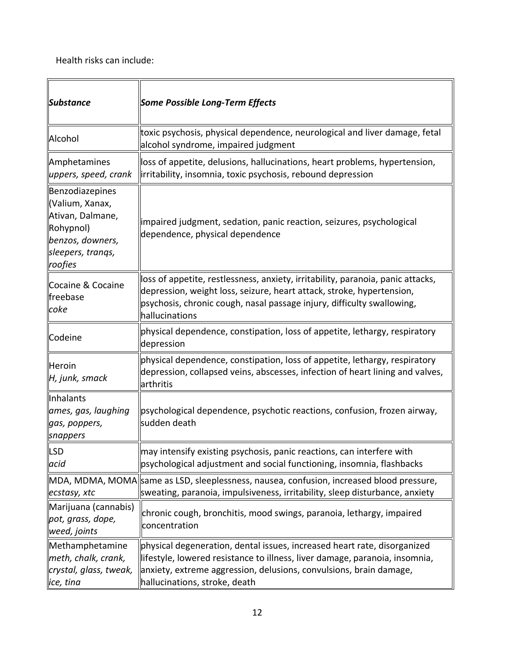Health risks can include:

| Substance                                                                                                               | Some Possible Long-Term Effects                                                                                                                                                                                                                                  |
|-------------------------------------------------------------------------------------------------------------------------|------------------------------------------------------------------------------------------------------------------------------------------------------------------------------------------------------------------------------------------------------------------|
| Alcohol                                                                                                                 | toxic psychosis, physical dependence, neurological and liver damage, fetal<br>alcohol syndrome, impaired judgment                                                                                                                                                |
| Amphetamines<br>uppers, speed, crank                                                                                    | loss of appetite, delusions, hallucinations, heart problems, hypertension,<br>irritability, insomnia, toxic psychosis, rebound depression                                                                                                                        |
| Benzodiazepines<br>Valium, Xanax,<br>Ativan, Dalmane,<br>Rohypnol)<br>benzos, downers,<br>sleepers, trangs,<br> roofies | impaired judgment, sedation, panic reaction, seizures, psychological<br>dependence, physical dependence                                                                                                                                                          |
| Cocaine & Cocaine<br>freebase<br>coke                                                                                   | loss of appetite, restlessness, anxiety, irritability, paranoia, panic attacks,<br>depression, weight loss, seizure, heart attack, stroke, hypertension,<br>psychosis, chronic cough, nasal passage injury, difficulty swallowing,<br>hallucinations             |
| Codeine                                                                                                                 | physical dependence, constipation, loss of appetite, lethargy, respiratory<br>depression                                                                                                                                                                         |
| Heroin<br>H, junk, smack                                                                                                | physical dependence, constipation, loss of appetite, lethargy, respiratory<br>depression, collapsed veins, abscesses, infection of heart lining and valves,<br>arthritis                                                                                         |
| <b>Inhalants</b><br>ames, gas, laughing<br>gas, poppers,<br>snappers                                                    | psychological dependence, psychotic reactions, confusion, frozen airway,<br>sudden death                                                                                                                                                                         |
| <b>LSD</b><br>acid                                                                                                      | may intensify existing psychosis, panic reactions, can interfere with<br>psychological adjustment and social functioning, insomnia, flashbacks                                                                                                                   |
| $ e$ cstasy, xtc                                                                                                        | MDA, MDMA, MOMA  same as LSD, sleeplessness, nausea, confusion, increased blood pressure,<br>sweating, paranoia, impulsiveness, irritability, sleep disturbance, anxiety                                                                                         |
| Marijuana (cannabis)<br>pot, grass, dope,<br>weed, joints                                                               | chronic cough, bronchitis, mood swings, paranoia, lethargy, impaired<br>concentration                                                                                                                                                                            |
| Methamphetamine<br>meth, chalk, crank,<br>crystal, glass, tweak,<br>lice, tina                                          | physical degeneration, dental issues, increased heart rate, disorganized<br>  lifestyle, lowered resistance to illness, liver damage, paranoia, insomnia,<br>anxiety, extreme aggression, delusions, convulsions, brain damage,<br>hallucinations, stroke, death |